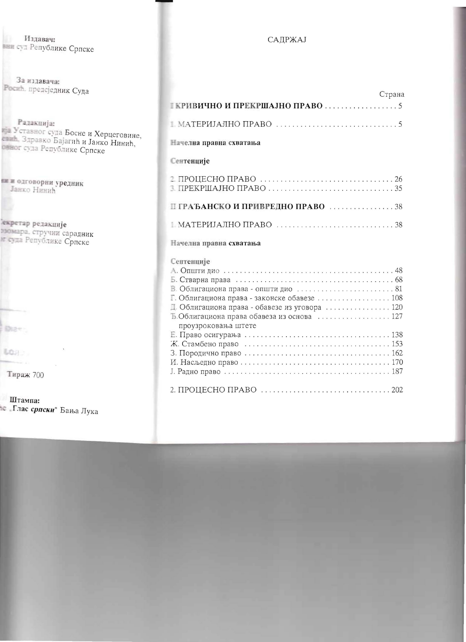## САДРЖАЈ

|                                                                                                                                                                                   | Страна |
|-----------------------------------------------------------------------------------------------------------------------------------------------------------------------------------|--------|
|                                                                                                                                                                                   |        |
|                                                                                                                                                                                   |        |
| Начелна правна схватања                                                                                                                                                           |        |
| Сентенције                                                                                                                                                                        |        |
|                                                                                                                                                                                   |        |
| П ГРАЂАНСКО И ПРИВРЕДНО ПРАВО 38                                                                                                                                                  |        |
|                                                                                                                                                                                   |        |
| Начелна правна схватања                                                                                                                                                           |        |
| Сентенције<br>Г. Облигациона права - законске обавезе  108<br>Д. Облигациона права - обавезе из уговора  120<br>Б.Облигациона права обавеза из основа  127<br>проузроковања штете |        |
|                                                                                                                                                                                   |        |
|                                                                                                                                                                                   |        |